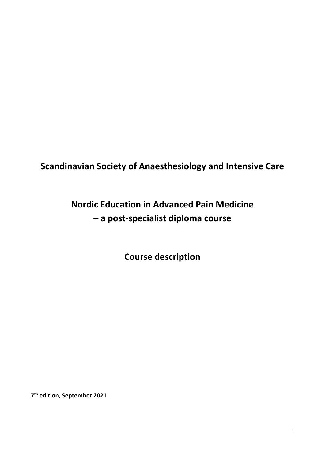# **Scandinavian Society of Anaesthesiology and Intensive Care**

# **Nordic Education in Advanced Pain Medicine – a post-specialist diploma course**

**Course description**

**7th edition, September 2021**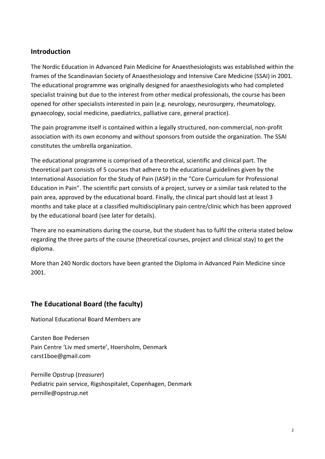## **Introduction**

The Nordic Education in Advanced Pain Medicine for Anaesthesiologists was established within the frames of the Scandinavian Society of Anaesthesiology and Intensive Care Medicine (SSAI) in 2001. The educational programme was originally designed for anaesthesiologists who had completed specialist training but due to the interest from other medical professionals, the course has been opened for other specialists interested in pain (e.g. neurology, neurosurgery, rheumatology, gynaecology, social medicine, paediatrics, palliative care, general practice).

The pain programme itself is contained within a legally structured, non-commercial, non-profit association with its own economy and without sponsors from outside the organization. The SSAI constitutes the umbrella organization.

The educational programme is comprised of a theoretical, scientific and clinical part. The theoretical part consists of 5 courses that adhere to the educational guidelines given by the International Association for the Study of Pain (IASP) in the "Core Curriculum for Professional Education in Pain". The scientific part consists of a project, survey or a similar task related to the pain area, approved by the educational board. Finally, the clinical part should last at least 3 months and take place at a classified multidisciplinary pain centre/clinic which has been approved by the educational board (see later for details).

There are no examinations during the course, but the student has to fulfil the criteria stated below regarding the three parts of the course (theoretical courses, project and clinical stay) to get the diploma.

More than 240 Nordic doctors have been granted the Diploma in Advanced Pain Medicine since 2001.

# **The Educational Board (the faculty)**

National Educational Board Members are

Carsten Boe Pedersen Pain Centre 'Liv med smerte', Hoersholm, Denmark carst1boe@gmail.com

Pernille Opstrup (*treasurer*) Pediatric pain service, Rigshospitalet, Copenhagen, Denmark pernille@opstrup.net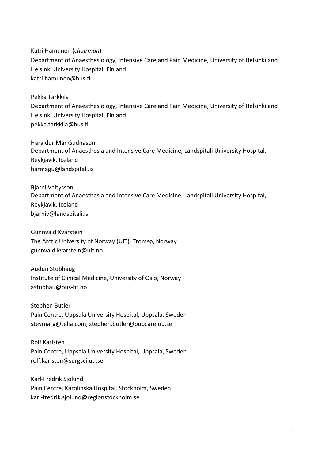Katri Hamunen (*chairman*) Department of Anaesthesiology, Intensive Care and Pain Medicine, University of Helsinki and Helsinki University Hospital, Finland katri.hamunen@hus.fi

Pekka Tarkkila

Department of Anaesthesiology, Intensive Care and Pain Medicine, University of Helsinki and Helsinki University Hospital, Finland pekka.tarkkila@hus.fi

Haraldur Már Gudnason Department of Anaesthesia and Intensive Care Medicine, Landspitali University Hospital, Reykjavik, Iceland harmagu@landspitali.is

Bjarni Valtýsson Department of Anaesthesia and Intensive Care Medicine, Landspitali University Hospital, Reykjavik, Iceland bjarniv@landspitali.is

Gunnvald Kvarstein The Arctic University of Norway (UIT), Tromsø, Norway gunnvald.kvarstein@uit.no

Audun Stubhaug Institute of Clinical Medicine, University of Oslo, Norway astubhau@ous-hf.no

Stephen Butler Pain Centre, Uppsala University Hospital, Uppsala, Sweden stevmarg@telia.com, stephen.butler@pubcare.uu.se

Rolf Karlsten Pain Centre, Uppsala University Hospital, Uppsala, Sweden rolf.karlsten@surgsci.uu.se

Karl-Fredrik Sjölund Pain Centre, Karolinska Hospital, Stockholm, Sweden karl-fredrik.sjolund@regionstockholm.se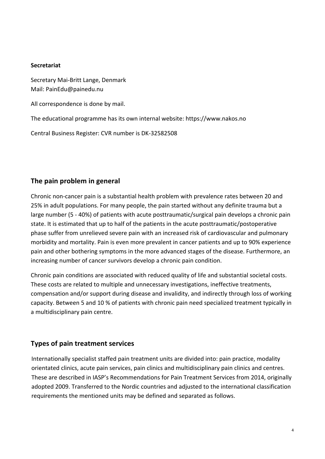#### **Secretariat**

Secretary Mai-Britt Lange, Denmark Mail: PainEdu@painedu.nu

All correspondence is done by mail.

The educational programme has its own internal website: https://www.nakos.no

Central Business Register: CVR number is DK-32582508

# **The pain problem in general**

Chronic non-cancer pain is a substantial health problem with prevalence rates between 20 and 25% in adult populations. For many people, the pain started without any definite trauma but a large number (5 - 40%) of patients with acute posttraumatic/surgical pain develops a chronic pain state. It is estimated that up to half of the patients in the acute posttraumatic/postoperative phase suffer from unrelieved severe pain with an increased risk of cardiovascular and pulmonary morbidity and mortality. Pain is even more prevalent in cancer patients and up to 90% experience pain and other bothering symptoms in the more advanced stages of the disease. Furthermore, an increasing number of cancer survivors develop a chronic pain condition.

Chronic pain conditions are associated with reduced quality of life and substantial societal costs. These costs are related to multiple and unnecessary investigations, ineffective treatments, compensation and/or support during disease and invalidity, and indirectly through loss of working capacity. Between 5 and 10 % of patients with chronic pain need specialized treatment typically in a multidisciplinary pain centre.

## **Types of pain treatment services**

Internationally specialist staffed pain treatment units are divided into: pain practice, modality orientated clinics, acute pain services, pain clinics and multidisciplinary pain clinics and centres. These are described in IASP's Recommendations for Pain Treatment Services from 2014, originally adopted 2009. Transferred to the Nordic countries and adjusted to the international classification requirements the mentioned units may be defined and separated as follows.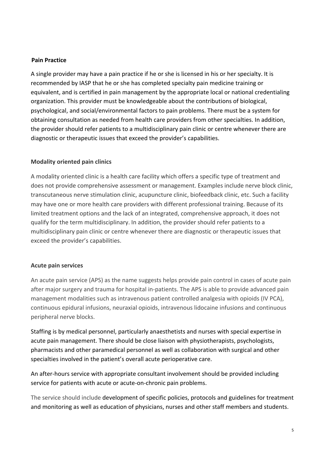#### **Pain Practice**

A single provider may have a pain practice if he or she is licensed in his or her specialty. It is recommended by IASP that he or she has completed specialty pain medicine training or equivalent, and is certified in pain management by the appropriate local or national credentialing organization. This provider must be knowledgeable about the contributions of biological, psychological, and social/environmental factors to pain problems. There must be a system for obtaining consultation as needed from health care providers from other specialties. In addition, the provider should refer patients to a multidisciplinary pain clinic or centre whenever there are diagnostic or therapeutic issues that exceed the provider's capabilities.

#### **Modality oriented pain clinics**

A modality oriented clinic is a health care facility which offers a specific type of treatment and does not provide comprehensive assessment or management. Examples include nerve block clinic, transcutaneous nerve stimulation clinic, acupuncture clinic, biofeedback clinic, etc. Such a facility may have one or more health care providers with different professional training. Because of its limited treatment options and the lack of an integrated, comprehensive approach, it does not qualify for the term multidisciplinary. In addition, the provider should refer patients to a multidisciplinary pain clinic or centre whenever there are diagnostic or therapeutic issues that exceed the provider's capabilities.

#### **Acute pain services**

An acute pain service (APS) as the name suggests helps provide pain control in cases of acute pain after major surgery and trauma for hospital in-patients. The APS is able to provide advanced pain management modalities such as intravenous patient controlled analgesia with opioids (IV PCA), continuous epidural infusions, neuraxial opioids, intravenous lidocaine infusions and continuous peripheral nerve blocks.

Staffing is by medical personnel, particularly anaesthetists and nurses with special expertise in acute pain management. There should be close liaison with physiotherapists, psychologists, pharmacists and other paramedical personnel as well as collaboration with surgical and other specialties involved in the patient's overall acute perioperative care.

An after-hours service with appropriate consultant involvement should be provided including service for patients with acute or acute-on-chronic pain problems.

The service should include development of specific policies, protocols and guidelines for treatment and monitoring as well as education of physicians, nurses and other staff members and students.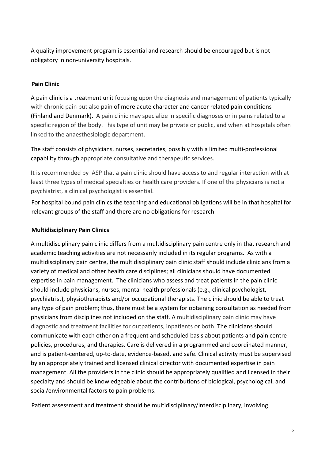A quality improvement program is essential and research should be encouraged but is not obligatory in non-university hospitals.

## **Pain Clinic**

A pain clinic is a treatment unit focusing upon the diagnosis and management of patients typically with chronic pain but also pain of more acute character and cancer related pain conditions (Finland and Denmark). A pain clinic may specialize in specific diagnoses or in pains related to a specific region of the body. This type of unit may be private or public, and when at hospitals often linked to the anaesthesiologic department.

The staff consists of physicians, nurses, secretaries, possibly with a limited multi-professional capability through appropriate consultative and therapeutic services.

It is recommended by IASP that a pain clinic should have access to and regular interaction with at least three types of medical specialties or health care providers. If one of the physicians is not a psychiatrist, a clinical psychologist is essential.

For hospital bound pain clinics the teaching and educational obligations will be in that hospital for relevant groups of the staff and there are no obligations for research.

## **Multidisciplinary Pain Clinics**

A multidisciplinary pain clinic differs from a multidisciplinary pain centre only in that research and academic teaching activities are not necessarily included in its regular programs. As with a multidisciplinary pain centre, the multidisciplinary pain clinic staff should include clinicians from a variety of medical and other health care disciplines; all clinicians should have documented expertise in pain management. The clinicians who assess and treat patients in the pain clinic should include physicians, nurses, mental health professionals (e.g., clinical psychologist, psychiatrist), physiotherapists and/or occupational therapists. The clinic should be able to treat any type of pain problem; thus, there must be a system for obtaining consultation as needed from physicians from disciplines not included on the staff. A multidisciplinary pain clinic may have diagnostic and treatment facilities for outpatients, inpatients or both. The clinicians should communicate with each other on a frequent and scheduled basis about patients and pain centre policies, procedures, and therapies. Care is delivered in a programmed and coordinated manner, and is patient-centered, up-to-date, evidence-based, and safe. Clinical activity must be supervised by an appropriately trained and licensed clinical director with documented expertise in pain management. All the providers in the clinic should be appropriately qualified and licensed in their specialty and should be knowledgeable about the contributions of biological, psychological, and social/environmental factors to pain problems.

Patient assessment and treatment should be multidisciplinary/interdisciplinary, involving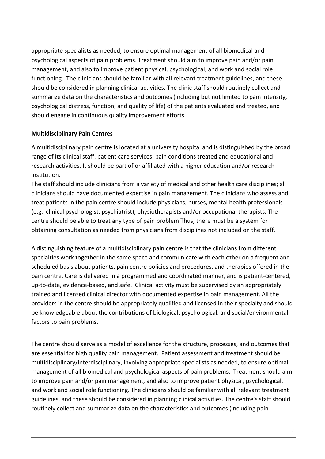appropriate specialists as needed, to ensure optimal management of all biomedical and psychological aspects of pain problems. Treatment should aim to improve pain and/or pain management, and also to improve patient physical, psychological, and work and social role functioning. The clinicians should be familiar with all relevant treatment guidelines, and these should be considered in planning clinical activities. The clinic staff should routinely collect and summarize data on the characteristics and outcomes (including but not limited to pain intensity, psychological distress, function, and quality of life) of the patients evaluated and treated, and should engage in continuous quality improvement efforts.

## **Multidisciplinary Pain Centres**

A multidisciplinary pain centre is located at a university hospital and is distinguished by the broad range of its clinical staff, patient care services, pain conditions treated and educational and research activities. It should be part of or affiliated with a higher education and/or research institution.

The staff should include clinicians from a variety of medical and other health care disciplines; all clinicians should have documented expertise in pain management. The clinicians who assess and treat patients in the pain centre should include physicians, nurses, mental health professionals (e.g. clinical psychologist, psychiatrist), physiotherapists and/or occupational therapists. The centre should be able to treat any type of pain problem Thus, there must be a system for obtaining consultation as needed from physicians from disciplines not included on the staff.

A distinguishing feature of a multidisciplinary pain centre is that the clinicians from different specialties work together in the same space and communicate with each other on a frequent and scheduled basis about patients, pain centre policies and procedures, and therapies offered in the pain centre. Care is delivered in a programmed and coordinated manner, and is patient-centered, up-to-date, evidence-based, and safe. Clinical activity must be supervised by an appropriately trained and licensed clinical director with documented expertise in pain management. All the providers in the centre should be appropriately qualified and licensed in their specialty and should be knowledgeable about the contributions of biological, psychological, and social/environmental factors to pain problems.

The centre should serve as a model of excellence for the structure, processes, and outcomes that are essential for high quality pain management. Patient assessment and treatment should be multidisciplinary/interdisciplinary, involving appropriate specialists as needed, to ensure optimal management of all biomedical and psychological aspects of pain problems. Treatment should aim to improve pain and/or pain management, and also to improve patient physical, psychological, and work and social role functioning. The clinicians should be familiar with all relevant treatment guidelines, and these should be considered in planning clinical activities. The centre's staff should routinely collect and summarize data on the characteristics and outcomes (including pain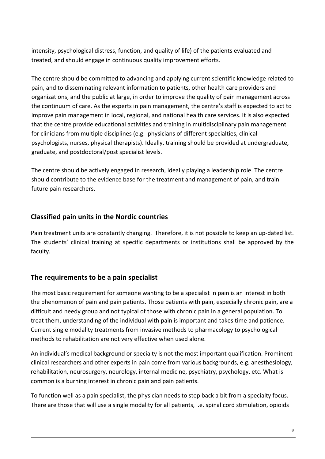intensity, psychological distress, function, and quality of life) of the patients evaluated and treated, and should engage in continuous quality improvement efforts.

The centre should be committed to advancing and applying current scientific knowledge related to pain, and to disseminating relevant information to patients, other health care providers and organizations, and the public at large, in order to improve the quality of pain management across the continuum of care. As the experts in pain management, the centre's staff is expected to act to improve pain management in local, regional, and national health care services. It is also expected that the centre provide educational activities and training in multidisciplinary pain management for clinicians from multiple disciplines (e.g. physicians of different specialties, clinical psychologists, nurses, physical therapists). Ideally, training should be provided at undergraduate, graduate, and postdoctoral/post specialist levels.

The centre should be actively engaged in research, ideally playing a leadership role. The centre should contribute to the evidence base for the treatment and management of pain, and train future pain researchers.

# **Classified pain units in the Nordic countries**

Pain treatment units are constantly changing. Therefore, it is not possible to keep an up-dated list. The students' clinical training at specific departments or institutions shall be approved by the faculty.

# **The requirements to be a pain specialist**

The most basic requirement for someone wanting to be a specialist in pain is an interest in both the phenomenon of pain and pain patients. Those patients with pain, especially chronic pain, are a difficult and needy group and not typical of those with chronic pain in a general population. To treat them, understanding of the individual with pain is important and takes time and patience. Current single modality treatments from invasive methods to pharmacology to psychological methods to rehabilitation are not very effective when used alone.

An individual's medical background or specialty is not the most important qualification. Prominent clinical researchers and other experts in pain come from various backgrounds, e.g. anesthesiology, rehabilitation, neurosurgery, neurology, internal medicine, psychiatry, psychology, etc. What is common is a burning interest in chronic pain and pain patients.

To function well as a pain specialist, the physician needs to step back a bit from a specialty focus. There are those that will use a single modality for all patients, i.e. spinal cord stimulation, opioids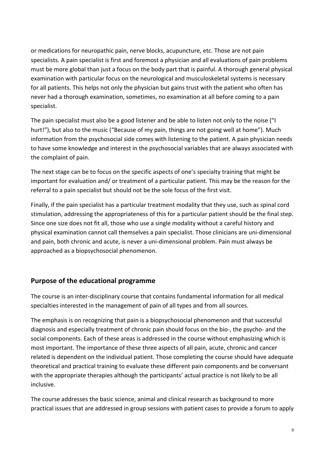or medications for neuropathic pain, nerve blocks, acupuncture, etc. Those are not pain specialists. A pain specialist is first and foremost a physician and all evaluations of pain problems must be more global than just a focus on the body part that is painful. A thorough general physical examination with particular focus on the neurological and musculoskeletal systems is necessary for all patients. This helps not only the physician but gains trust with the patient who often has never had a thorough examination, sometimes, no examination at all before coming to a pain specialist.

The pain specialist must also be a good listener and be able to listen not only to the noise ("I hurt!"), but also to the music ("Because of my pain, things are not going well at home"). Much information from the psychosocial side comes with listening to the patient. A pain physician needs to have some knowledge and interest in the psychosocial variables that are always associated with the complaint of pain.

The next stage can be to focus on the specific aspects of one's specialty training that might be important for evaluation and/ or treatment of a particular patient. This may be the reason for the referral to a pain specialist but should not be the sole focus of the first visit.

Finally, if the pain specialist has a particular treatment modality that they use, such as spinal cord stimulation, addressing the appropriateness of this for a particular patient should be the final step. Since one size does not fit all, those who use a single modality without a careful history and physical examination cannot call themselves a pain specialist. Those clinicians are uni-dimensional and pain, both chronic and acute, is never a uni-dimensional problem. Pain must always be approached as a biopsychosocial phenomenon.

## **Purpose of the educational programme**

The course is an inter-disciplinary course that contains fundamental information for all medical specialties interested in the management of pain of all types and from all sources.

The emphasis is on recognizing that pain is a biopsychosocial phenomenon and that successful diagnosis and especially treatment of chronic pain should focus on the bio-, the psycho- and the social components. Each of these areas is addressed in the course without emphasizing which is most important. The importance of these three aspects of all pain, acute, chronic and cancer related is dependent on the individual patient. Those completing the course should have adequate theoretical and practical training to evaluate these different pain components and be conversant with the appropriate therapies although the participants' actual practice is not likely to be all inclusive.

The course addresses the basic science, animal and clinical research as background to more practical issues that are addressed in group sessions with patient cases to provide a forum to apply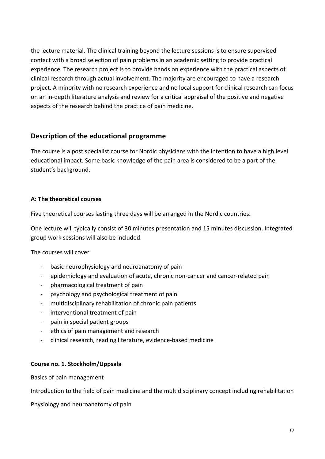the lecture material. The clinical training beyond the lecture sessions is to ensure supervised contact with a broad selection of pain problems in an academic setting to provide practical experience. The research project is to provide hands on experience with the practical aspects of clinical research through actual involvement. The majority are encouraged to have a research project. A minority with no research experience and no local support for clinical research can focus on an in-depth literature analysis and review for a critical appraisal of the positive and negative aspects of the research behind the practice of pain medicine.

# **Description of the educational programme**

The course is a post specialist course for Nordic physicians with the intention to have a high level educational impact. Some basic knowledge of the pain area is considered to be a part of the student's background.

## **A: The theoretical courses**

Five theoretical courses lasting three days will be arranged in the Nordic countries.

One lecture will typically consist of 30 minutes presentation and 15 minutes discussion. Integrated group work sessions will also be included.

The courses will cover

- basic neurophysiology and neuroanatomy of pain
- epidemiology and evaluation of acute, chronic non-cancer and cancer-related pain
- pharmacological treatment of pain
- psychology and psychological treatment of pain
- multidisciplinary rehabilitation of chronic pain patients
- interventional treatment of pain
- pain in special patient groups
- ethics of pain management and research
- clinical research, reading literature, evidence-based medicine

## **Course no. 1. Stockholm/Uppsala**

Basics of pain management

Introduction to the field of pain medicine and the multidisciplinary concept including rehabilitation

Physiology and neuroanatomy of pain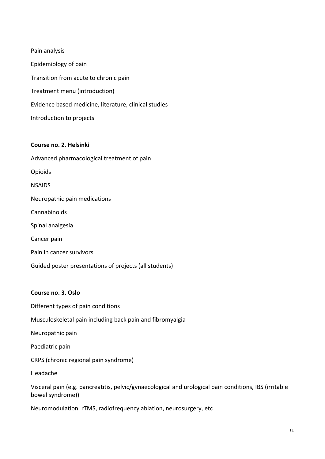| Pain analysis                                         |
|-------------------------------------------------------|
| Epidemiology of pain                                  |
| Transition from acute to chronic pain                 |
| Treatment menu (introduction)                         |
| Evidence based medicine, literature, clinical studies |
| Introduction to projects                              |

#### **Course no. 2. Helsinki**

Advanced pharmacological treatment of pain Opioids NSAIDS Neuropathic pain medications Cannabinoids Spinal analgesia Cancer pain Pain in cancer survivors Guided poster presentations of projects (all students)

#### **Course no. 3. Oslo**

- Different types of pain conditions
- Musculoskeletal pain including back pain and fibromyalgia
- Neuropathic pain
- Paediatric pain
- CRPS (chronic regional pain syndrome)
- Headache

Visceral pain (e.g. pancreatitis, pelvic/gynaecological and urological pain conditions, IBS (irritable bowel syndrome))

Neuromodulation, rTMS, radiofrequency ablation, neurosurgery, etc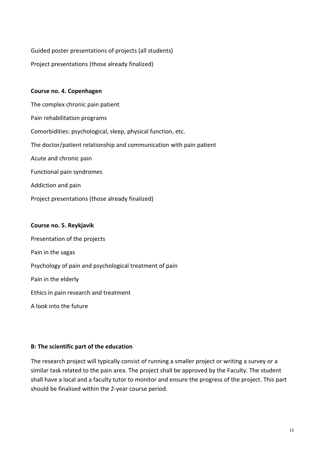Guided poster presentations of projects (all students)

Project presentations (those already finalized)

## **Course no. 4. Copenhagen**

The complex chronic pain patient Pain rehabilitation programs Comorbidities: psychological, sleep, physical function, etc. The doctor/patient relationship and communication with pain patient Acute and chronic pain Functional pain syndromes Addiction and pain Project presentations (those already finalized)

#### **Course no. 5. Reykjavik**

Presentation of the projects Pain in the sagas Psychology of pain and psychological treatment of pain Pain in the elderly Ethics in pain research and treatment

A look into the future

## **B: The scientific part of the education**

The research project will typically consist of running a smaller project or writing a survey or a similar task related to the pain area. The project shall be approved by the Faculty. The student shall have a local and a faculty tutor to monitor and ensure the progress of the project. This part should be finalised within the 2-year course period.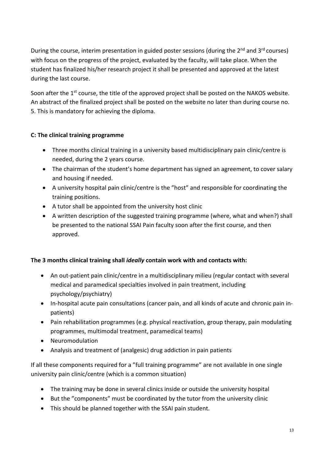During the course, interim presentation in guided poster sessions (during the  $2^{nd}$  and  $3^{rd}$  courses) with focus on the progress of the project, evaluated by the faculty, will take place. When the student has finalized his/her research project it shall be presented and approved at the latest during the last course.

Soon after the  $1<sup>st</sup>$  course, the title of the approved project shall be posted on the NAKOS website. An abstract of the finalized project shall be posted on the website no later than during course no. 5. This is mandatory for achieving the diploma.

## **C: The clinical training programme**

- Three months clinical training in a university based multidisciplinary pain clinic/centre is needed, during the 2 years course.
- The chairman of the student's home department has signed an agreement, to cover salary and housing if needed.
- A university hospital pain clinic/centre is the "host" and responsible for coordinating the training positions.
- A tutor shall be appointed from the university host clinic
- A written description of the suggested training programme (where, what and when?) shall be presented to the national SSAI Pain faculty soon after the first course, and then approved.

## **The 3 months clinical training shall** *ideally* **contain work with and contacts with:**

- An out-patient pain clinic/centre in a multidisciplinary milieu (regular contact with several medical and paramedical specialties involved in pain treatment, including psychology/psychiatry)
- In-hospital acute pain consultations (cancer pain, and all kinds of acute and chronic pain inpatients)
- Pain rehabilitation programmes (e.g. physical reactivation, group therapy, pain modulating programmes, multimodal treatment, paramedical teams)
- Neuromodulation
- Analysis and treatment of (analgesic) drug addiction in pain patients

If all these components required for a "full training programme" are not available in one single university pain clinic/centre (which is a common situation)

- The training may be done in several clinics inside or outside the university hospital
- But the "components" must be coordinated by the tutor from the university clinic
- This should be planned together with the SSAI pain student.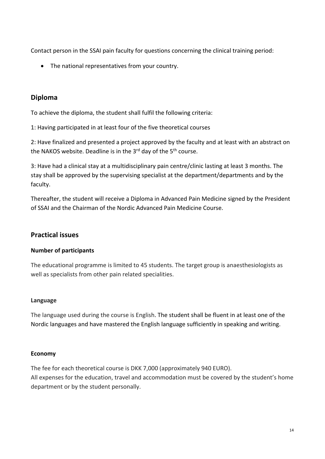Contact person in the SSAI pain faculty for questions concerning the clinical training period:

• The national representatives from your country.

# **Diploma**

To achieve the diploma, the student shall fulfil the following criteria:

1: Having participated in at least four of the five theoretical courses

2: Have finalized and presented a project approved by the faculty and at least with an abstract on the NAKOS website. Deadline is in the  $3^{rd}$  day of the  $5^{th}$  course.

3: Have had a clinical stay at a multidisciplinary pain centre/clinic lasting at least 3 months. The stay shall be approved by the supervising specialist at the department/departments and by the faculty.

Thereafter, the student will receive a Diploma in Advanced Pain Medicine signed by the President of SSAI and the Chairman of the Nordic Advanced Pain Medicine Course.

# **Practical issues**

## **Number of participants**

The educational programme is limited to 45 students. The target group is anaesthesiologists as well as specialists from other pain related specialities.

## **Language**

The language used during the course is English. The student shall be fluent in at least one of the Nordic languages and have mastered the English language sufficiently in speaking and writing.

## **Economy**

The fee for each theoretical course is DKK 7,000 (approximately 940 EURO). All expenses for the education, travel and accommodation must be covered by the student's home department or by the student personally.